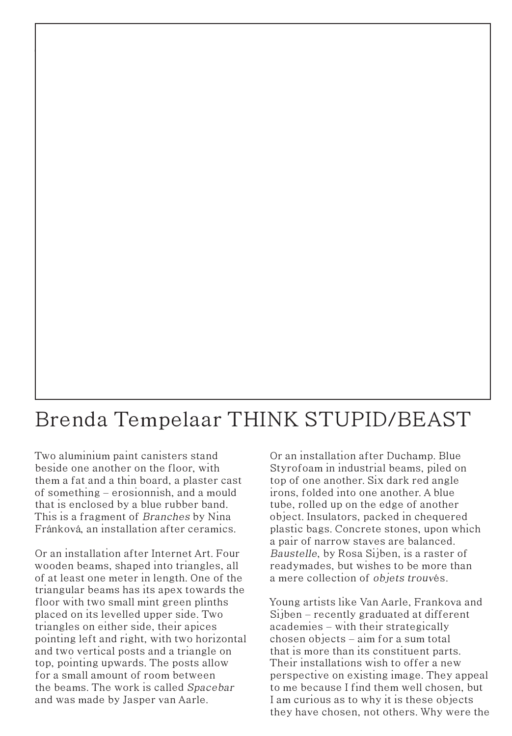## Brenda Tempelaar THINK STUPID/BEAST

Two aluminium paint canisters stand beside one another on the floor, with them a fat and a thin board, a plaster cast of something - erosionnish, and a mould that is enclosed by a blue rubber band. This is a fragment of Branches by Nina Fránková, an installation after ceramics.

1 Vermeulen, Thimotheus. 'Thoughts on the

abstract fact, emotionless, and yet charged.

The Italian artist Dario D'Aronco was inspired by the possibility of bringing the unborn child as sculpture to the world. D'Aronco had his own body scanned in order to process his organs into sculpture.

and represents the artist's heart. It leads the viewer astray: are we deal in the viewer astray: a (admittedly abstract) simility abstract) simility abstract (2016), subsequently, reveals the edges of the torso of the artist, and functions as a shell that contains its own negative. What information is disclosed when the internal is made external? D'Aronco also knows: a literal representation doesn't leave any room for the imagination. With his work, the artist presents a sensory and simultaneously philosophical inquiry into the space of the body, pointing at what is, what was and what

always will be.

Or an installation after Internet Art. Four wooden beams, shaped into triangles, all of at least one meter in length. One of the triangular beams has its apex towards the floor with two small mint green plinths placed on its levelled upper side. Two triangles on either side, their apices pointing left and right, with two horizontal and two vertical posts and a triangle on top, pointing upwards. The posts allow for a small amount of room between the beams. The work is called Spacebar and was made by Jasper van Aarle.

Or an installation after Duchamp. Blue Styrofoam in industrial beams, piled on top of one another. Six dark red angle irons, folded into one another. A blue tube, rolled up on the edge of another object. Insulators, packed in chequered plastic bags. Concrete stones, upon which a pair of narrow staves are balanced. Baustelle, by Rosa Sijben, is a raster of readymades, but wishes to be more than a mere collection of objets trouvés.

2005. Exhibition catalogue, British School in

selection of texts from DYN, republished by

Blaussyld, monograph about the work of the

Young artists like Van Aarle, Frankova and Sijben - recently graduated at different academies - with their strategically chosen objects - aim for a sum total that is more than its constituent parts. Their installations wish to offer a new perspective on existing image. They appeal to me because I find them well chosen, but I am curious as to why it is these objects they have chosen, not others. Why were the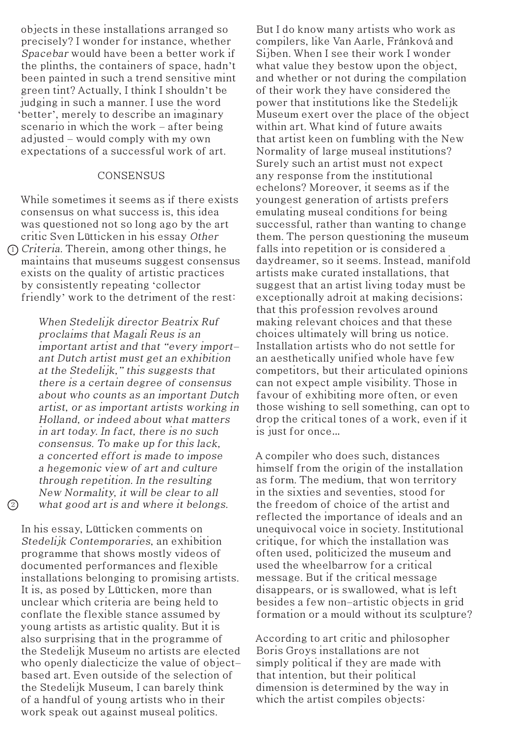objects in these installations arranged so precisely? I wonder for instance, whether Spacebar would have been a better work if the plinths, the containers of space, hadn't been painted in such a trend sensitive mint green tint? Actually, I think I shouldn't be judging in such a manner. I use the word 'better', merely to describe an imaginary scenario in which the work – after being adjusted - would comply with my own expectations of a successful work of art.

## CONSENSUS

While sometimes it seems as if there exists consensus on what success is, this idea was questioned not so long ago by the art critic Sven Lütticken in his essay Other Criteria. Therein, among other things, he 1 maintains that museums suggest consensus exists on the quality of artistic practices by consistently repeating 'collector friendly' work to the detriment of the rest:

> When Stedelijk director Beatrix Ruf proclaims that Magali Reus is an important artist and that "every important Dutch artist must get an exhibition at the Stedelijk," this suggests that there is a certain degree of consensus about who counts as an important Dutch artist, or as important artists working in Holland, or indeed about what matters in art today. In fact, there is no such consensus. To make up for this lack, a concerted effort is made to impose a hegemonic view of art and culture through repetition. In the resulting New Normality, it will be clear to all what good art is and where it belongs.

In his essay, Lütticken comments on Stedelijk Contemporaries, an exhibition programme that shows mostly videos of documented performances and flexible installations belonging to promising artists. It is, as posed by Lütticken, more than unclear which criteria are being held to conflate the flexible stance assumed by young artists as artistic quality. But it is also surprising that in the programme of the Stedelijk Museum no artists are elected who openly dialecticize the value of objectbased art. Even outside of the selection of the Stedelijk Museum, I can barely think of a handful of young artists who in their work speak out against museal politics.

 $\circled{2}$ 

But I do know many artists who work as compilers, like Van Aarle, Fránková and Sijben. When I see their work I wonder what value they bestow upon the object. and whether or not during the compilation of their work they have considered the power that institutions like the Stedelijk Museum exert over the place of the object within art. What kind of future awaits that artist keen on fumbling with the New Normality of large museal institutions? Surely such an artist must not expect any response from the institutional echelons? Moreover, it seems as if the youngest generation of artists prefers emulating museal conditions for being successful, rather than wanting to change them. The person questioning the museum falls into repetition or is considered a daydreamer, so it seems. Instead, manifold artists make curated installations, that suggest that an artist living today must be exceptionally adroit at making decisions; that this profession revolves around making relevant choices and that these choices ultimately will bring us notice. Installation artists who do not settle for an aesthetically unified whole have few competitors, but their articulated opinions can not expect ample visibility. Those in favour of exhibiting more often, or even those wishing to sell something, can opt to drop the critical tones of a work, even if it is just for once…

A compiler who does such, distances himself from the origin of the installation as form. The medium, that won territory in the sixties and seventies, stood for the freedom of choice of the artist and reflected the importance of ideals and an unequivocal voice in society. Institutional critique, for which the installation was often used, politicized the museum and used the wheelbarrow for a critical message. But if the critical message disappears, or is swallowed, what is left besides a few non-artistic objects in grid formation or a mould without its sculpture?

According to art critic and philosopher Boris Groys installations are not simply political if they are made with that intention, but their political dimension is determined by the way in which the artist compiles objects: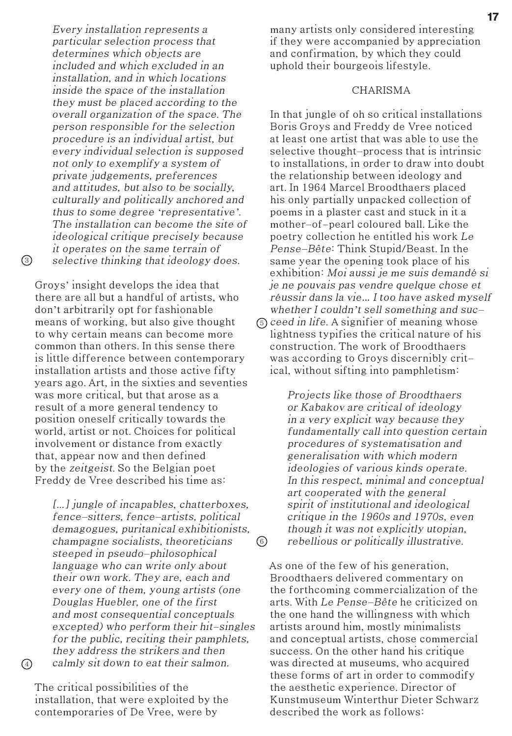Every installation represents a particular selection process that determines which objects are included and which excluded in an installation, and in which locations inside the space of the installation they must be placed according to the overall organization of the space. The person responsible for the selection procedure is an individual artist, but every individual selection is supposed not only to exemplify a system of private judgements, preferences and attitudes, but also to be socially, culturally and politically anchored and thus to some degree 'representative'. The installation can become the site of ideological critique precisely because it operates on the same terrain of selective thinking that ideology does.

Groys' insight develops the idea that there are all but a handful of artists, who don't arbitrarily opt for fashionable means of working, but also give thought to why certain means can become more common than others. In this sense there is little difference between contemporary installation artists and those active fifty years ago. Art, in the sixties and seventies was more critical, but that arose as a result of a more general tendency to position oneself critically towards the world, artist or not. Choices for political involvement or distance from exactly that, appear now and then defined by the zeitgeist. So the Belgian poet Freddy de Vree described his time as:

[...] jungle of incapables, chatterboxes, fence-sitters, fence-artists, political demagogues, puritanical exhibitionists, champagne socialists, theoreticians steeped in pseudo-philosophical language who can write only about their own work. They are, each and every one of them, young artists (one Douglas Huebler, one of the first and most consequential conceptuals excepted) who perform their hit-singles for the public, reciting their pamphlets, they address the strikers and then calmly sit down to eat their salmon. 6

 $\overline{4}$ 

 $\circ$ 

The critical possibilities of the installation, that were exploited by the contemporaries of De Vree, were by

many artists only considered interesting if they were accompanied by appreciation and confirmation, by which they could uphold their bourgeois lifestyle.

## **CHARISMA**

In that jungle of oh so critical installations Boris Groys and Freddy de Vree noticed at least one artist that was able to use the selective thought-process that is intrinsic to installations, in order to draw into doubt the relationship between ideology and art. In 1964 Marcel Broodthaers placed his only partially unpacked collection of poems in a plaster cast and stuck in it a mother-of-pearl coloured ball. Like the poetry collection he entitled his work Le Pense-Bête: Think Stupid/Beast. In the same year the opening took place of his exhibition: Moi aussi je me suis demandé si je ne pouvais pas vendre quelque chose et réussir dans la vie… I too have asked myself whether I couldn't sell something and suc- $_5$  ceed in life. A signifier of meaning whose lightness typifies the critical nature of his construction. The work of Broodthaers was according to Groys discernibly critical, without sifting into pamphletism:

> Projects like those of Broodthaers or Kabakov are critical of ideology in a very explicit way because they fundamentally call into question certain procedures of systematisation and generalisation with which modern ideologies of various kinds operate. In this respect, minimal and conceptual art cooperated with the general spirit of institutional and ideological critique in the 1960s and 1970s, even though it was not explicitly utopian, rebellious or politically illustrative.

As one of the few of his generation, Broodthaers delivered commentary on the forthcoming commercialization of the arts. With Le Pense-Bête he criticized on the one hand the willingness with which artists around him, mostly minimalists and conceptual artists, chose commercial success. On the other hand his critique was directed at museums, who acquired these forms of art in order to commodify the aesthetic experience. Director of Kunstmuseum Winterthur Dieter Schwarz described the work as follows: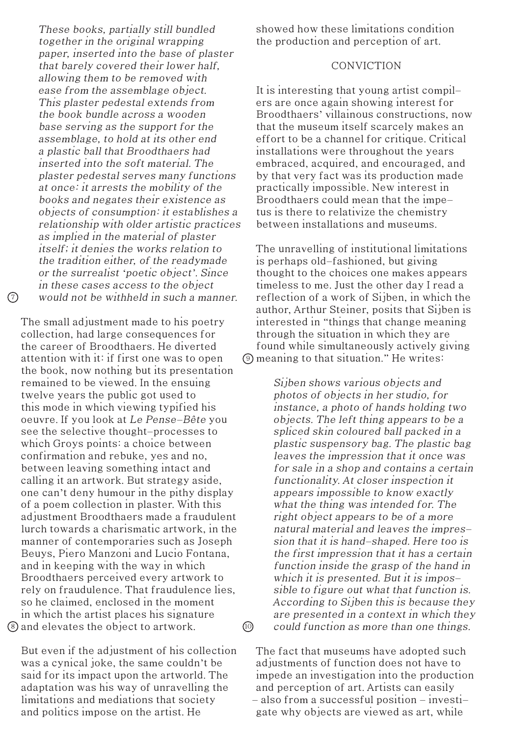These books, partially still bundled together in the original wrapping paper, inserted into the base of plaster that barely covered their lower half, allowing them to be removed with ease from the assemblage object. This plaster pedestal extends from the book bundle across a wooden base serving as the support for the assemblage, to hold at its other end a plastic ball that Broodthaers had inserted into the soft material. The plaster pedestal serves many functions at once: it arrests the mobility of the books and negates their existence as objects of consumption: it establishes a relationship with older artistic practices as implied in the material of plaster itself; it denies the works relation to the tradition either, of the readymade or the surrealist 'poetic object'. Since in these cases access to the object would not be withheld in such a manner.

8 and elevates the object to artwork. The small adjustment made to his poetry collection, had large consequences for the career of Broodthaers. He diverted attention with it: if first one was to open the book, now nothing but its presentation remained to be viewed. In the ensuing twelve years the public got used to this mode in which viewing typified his oeuvre. If you look at Le Pense-Bête you see the selective thought-processes to which Groys points: a choice between confirmation and rebuke, yes and no, between leaving something intact and calling it an artwork. But strategy aside, one can't deny humour in the pithy display of a poem collection in plaster. With this adjustment Broodthaers made a fraudulent lurch towards a charismatic artwork, in the manner of contemporaries such as Joseph Beuys, Piero Manzoni and Lucio Fontana, and in keeping with the way in which Broodthaers perceived every artwork to rely on fraudulence. That fraudulence lies, so he claimed, enclosed in the moment in which the artist places his signature

 $(7)$ 

But even if the adjustment of his collection was a cynical joke, the same couldn't be said for its impact upon the artworld. The adaptation was his way of unravelling the limitations and mediations that society and politics impose on the artist. He

showed how these limitations condition the production and perception of art.

## CONVICTION

It is interesting that young artist compilers are once again showing interest for Broodthaers' villainous constructions, now that the museum itself scarcely makes an effort to be a channel for critique. Critical installations were throughout the years embraced, acquired, and encouraged, and by that very fact was its production made practically impossible. New interest in Broodthaers could mean that the impetus is there to relativize the chemistry between installations and museums.

The unravelling of institutional limitations is perhaps old-fashioned, but giving thought to the choices one makes appears timeless to me. Just the other day I read a reflection of a work of Sijben, in which the author, Arthur Steiner, posits that Sijben is interested in "things that change meaning through the situation in which they are found while simultaneously actively giving  $\mathcal D$  meaning to that situation." He writes:

> Sijben shows various objects and photos of objects in her studio, for instance, a photo of hands holding two objects. The left thing appears to be a spliced skin coloured ball packed in a plastic suspensory bag. The plastic bag leaves the impression that it once was for sale in a shop and contains a certain functionality. At closer inspection it appears impossible to know exactly what the thing was intended for. The right object appears to be of a more natural material and leaves the impression that it is hand-shaped. Here too is the first impression that it has a certain function inside the grasp of the hand in which it is presented. But it is impossible to figure out what that function is. According to Sijben this is because they are presented in a context in which they could function as more than one things.

The fact that museums have adopted such adjustments of function does not have to impede an investigation into the production and perception of art. Artists can easily  $-$  also from a successful position  $-$  investigate why objects are viewed as art, while

 $(10)$